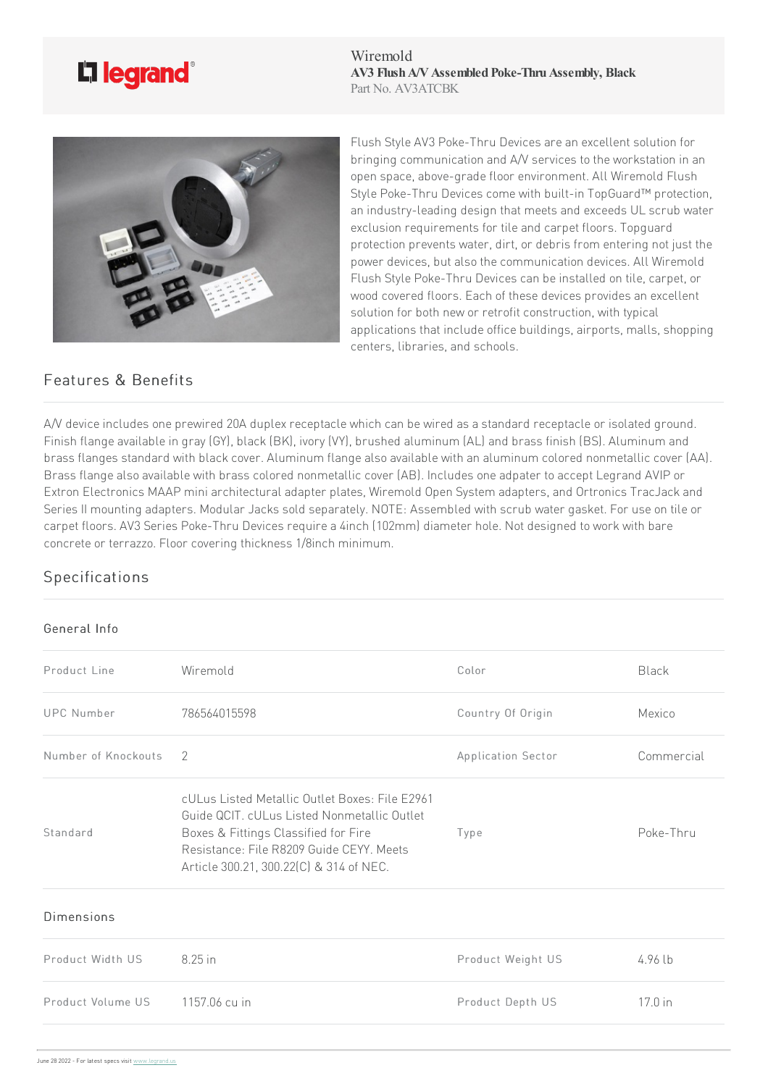

Wiremold AV3 Flush A/V Assembled Poke-Thru Assembly, Black Part No. AV3ATCBK



Flush Style AV3 Poke-Thru Devices are an excellent solution for bringing communication and  $A/V$  services to the workstation in an open space, above-grade floor environment. All Wiremold Flush Style Poke-Thru Devices come with built-in TopGuard™ protection, an industry-leading design that meets and exceeds UL scrub water exclusion requirements for tile and carpet floors. Topguard protection prevents water, dirt, or debris from entering not just the power devices, but also the communication devices. All Wiremold Flush Style Poke-Thru Devices can be installed on tile, carpet, or wood covered floors. Each of these devices provides an excellent solution for both new or retrofit construction, with typical applications that include office buildings, airports, malls, shopping centers, libraries, and schools.

## Features & Benefits

A/V device includes one prewired 20A duplex receptacle which can be wired as a standard receptacle or isolated ground. Finish flange available in gray (GY), black (BK), ivory (VY), brushed aluminum (AL) and brass finish (BS). Aluminum and brass flanges standard with black cover. Aluminum flange also available with an aluminum colored nonmetallic cover (AA). Brass flange also available with brass colored nonmetallic cover (AB). Includes one adpater to accept Legrand AVIP or Extron Electronics MAAP mini architectural adapter plates, Wiremold Open System adapters, and Ortronics TracJack and Series II mounting adapters. Modular Jacks sold separately. NOTE: Assembled with scrub water gasket. For use on tile or carpet floors. AV3 Series Poke-Thru Devices require a 4inch (102mm) diameter hole. Not designed to work with bare concrete or terrazzo. Floor covering thickness 1/8inch minimum.

## Specifications

## General Info

| Product Line        | Wiremold                                                                                                                                                                                                                     | Color              | <b>Black</b> |
|---------------------|------------------------------------------------------------------------------------------------------------------------------------------------------------------------------------------------------------------------------|--------------------|--------------|
| <b>UPC Number</b>   | 786564015598                                                                                                                                                                                                                 | Country Of Origin  | Mexico       |
| Number of Knockouts | $\mathcal{P}$                                                                                                                                                                                                                | Application Sector | Commercial   |
| Standard            | cULus Listed Metallic Outlet Boxes: File E2961<br>Guide QCIT, cULus Listed Nonmetallic Outlet<br>Boxes & Fittings Classified for Fire<br>Resistance: File R8209 Guide CEYY. Meets<br>Article 300.21, 300.22(C) & 314 of NEC. | Type               | Poke-Thru    |
| Dimensions          |                                                                                                                                                                                                                              |                    |              |
| Product Width US    | 8.25 in                                                                                                                                                                                                                      | Product Weight US  | $4.96$ lb    |
| Product Volume US   | 1157.06 cu in                                                                                                                                                                                                                | Product Depth US   | 17.0 in      |
|                     |                                                                                                                                                                                                                              |                    |              |